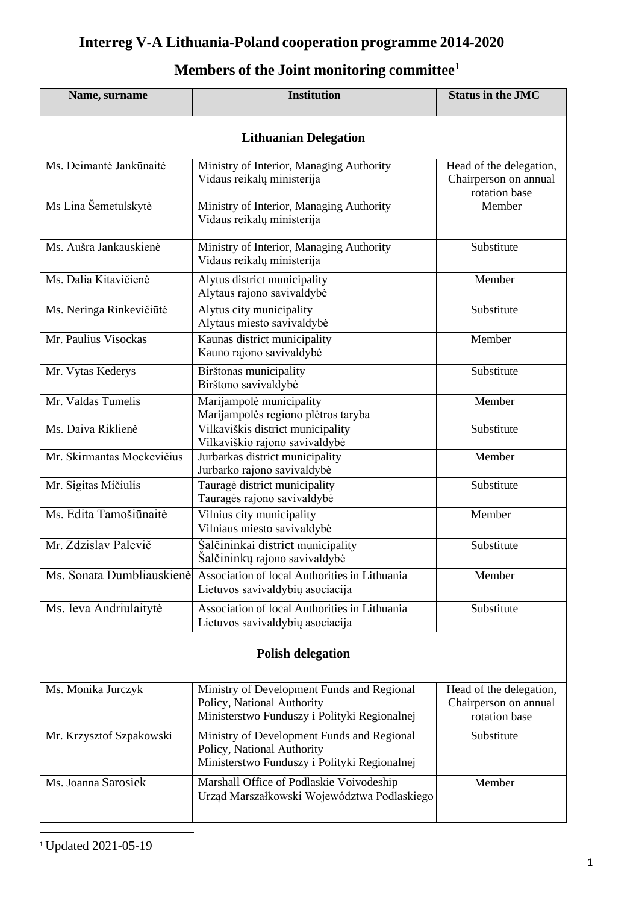## **Interreg V-A Lithuania-Poland cooperation programme 2014-2020**

|  |  |  |  |  | Members of the Joint monitoring committee <sup>1</sup> |  |
|--|--|--|--|--|--------------------------------------------------------|--|
|--|--|--|--|--|--------------------------------------------------------|--|

| Name, surname                                                                                                                                        | <b>Institution</b>                                                                                                       |                                                                   |  |  |  |  |
|------------------------------------------------------------------------------------------------------------------------------------------------------|--------------------------------------------------------------------------------------------------------------------------|-------------------------------------------------------------------|--|--|--|--|
| <b>Lithuanian Delegation</b>                                                                                                                         |                                                                                                                          |                                                                   |  |  |  |  |
| Ms. Deimantė Jankūnaitė                                                                                                                              | Ministry of Interior, Managing Authority<br>Vidaus reikalų ministerija                                                   | Head of the delegation,<br>Chairperson on annual<br>rotation base |  |  |  |  |
| Ms Lina Šemetulskytė                                                                                                                                 | Ministry of Interior, Managing Authority<br>Vidaus reikalų ministerija                                                   | Member                                                            |  |  |  |  |
| Ms. Aušra Jankauskienė                                                                                                                               | Ministry of Interior, Managing Authority<br>Vidaus reikalų ministerija                                                   | Substitute                                                        |  |  |  |  |
| Ms. Dalia Kitavičienė                                                                                                                                | Alytus district municipality<br>Alytaus rajono savivaldybė                                                               | Member                                                            |  |  |  |  |
| Ms. Neringa Rinkevičiūtė                                                                                                                             | Alytus city municipality<br>Alytaus miesto savivaldybė                                                                   | Substitute                                                        |  |  |  |  |
| Mr. Paulius Visockas                                                                                                                                 | Kaunas district municipality<br>Kauno rajono savivaldybė                                                                 | Member                                                            |  |  |  |  |
| Mr. Vytas Kederys                                                                                                                                    | Birštonas municipality<br>Birštono savivaldybė                                                                           | Substitute                                                        |  |  |  |  |
| Mr. Valdas Tumelis                                                                                                                                   | Marijampolė municipality<br>Marijampolės regiono plėtros taryba                                                          | Member                                                            |  |  |  |  |
| Ms. Daiva Riklienė                                                                                                                                   | Vilkaviškis district municipality<br>Vilkaviškio rajono savivaldybė                                                      | Substitute                                                        |  |  |  |  |
| Mr. Skirmantas Mockevičius                                                                                                                           | Jurbarkas district municipality<br>Jurbarko rajono savivaldybė                                                           | Member                                                            |  |  |  |  |
| Mr. Sigitas Mičiulis                                                                                                                                 | Tauragė district municipality<br>Tauragės rajono savivaldybė                                                             | Substitute                                                        |  |  |  |  |
| Ms. Edita Tamošiūnaitė                                                                                                                               | Vilnius city municipality<br>Vilniaus miesto savivaldybė                                                                 | Member                                                            |  |  |  |  |
| Mr. Zdzislav Palevič                                                                                                                                 | Šalčininkai district municipality<br>Šalčininkų rajono savivaldybė                                                       | Substitute                                                        |  |  |  |  |
| Ms. Sonata Dumbliauskienė                                                                                                                            | Association of local Authorities in Lithuania<br>Lietuvos savivaldybių asociacija                                        | Member                                                            |  |  |  |  |
| Ms. Ieva Andriulaitytė                                                                                                                               | Association of local Authorities in Lithuania<br>Lietuvos savivaldybių asociacija                                        | Substitute                                                        |  |  |  |  |
| <b>Polish delegation</b>                                                                                                                             |                                                                                                                          |                                                                   |  |  |  |  |
| Ms. Monika Jurczyk                                                                                                                                   | Ministry of Development Funds and Regional<br>Policy, National Authority<br>Ministerstwo Funduszy i Polityki Regionalnej | Head of the delegation,<br>Chairperson on annual<br>rotation base |  |  |  |  |
| Ministry of Development Funds and Regional<br>Mr. Krzysztof Szpakowski<br>Policy, National Authority<br>Ministerstwo Funduszy i Polityki Regionalnej |                                                                                                                          | Substitute                                                        |  |  |  |  |
| Ms. Joanna Sarosiek                                                                                                                                  | Marshall Office of Podlaskie Voivodeship<br>Urząd Marszałkowski Województwa Podlaskiego                                  | Member                                                            |  |  |  |  |